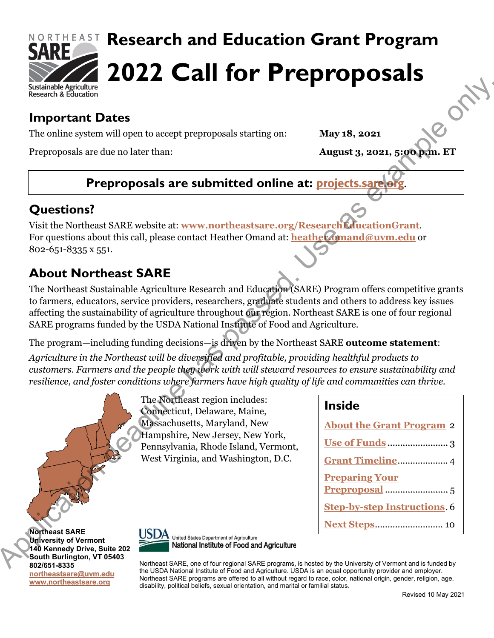

# **Research and Education Grant Program 2022 Call for Preproposals**

### **Important Dates**

The online system will open to accept preproposals starting on: **May 18, 2021**

Preproposals are due no later than: **August 3, 2021, 5:00 p.m. ET**

# **Preproposals are submitted online at: projects.sare.**

## **Questions?**

Visit the Northeast SARE website at: **www.northeastsare.org/ResearchEducationGrant**. For questions about this call, please contact Heather Omand at: **heather.omand@uvm.edu** or 802-651-8335 x 551.

# **About Northeast SARE**

The Northeast Sustainable Agriculture Research and Education (SARE) Program offers competitive grants to farmers, educators, service providers, researchers, graduate students and others to address key issues affecting the sustainability of agriculture throughout our region. Northeast SARE is one of four regional SARE programs funded by the USDA National Institute of Food and Agriculture. **Ex[a](http://www.northeastsare.org/ResearchEducationGrant)mple for the set of the set of the set of the set of the set of the set of the set of the set of the set of the set of the set of the set of the set of the set of the set of the set of the set of the set of the set of** 

The program—including funding decisions—is driven by the Northeast SARE **outcome statement**:

*Agriculture in the Northeast will be diversified and profitable, providing healthful products to customers. Farmers and the people they work with will steward resources to ensure sustainability and resilience, and foster conditions where farmers have high quality of life and communities can thrive.*

> The Northeast region includes: Connecticut, Delaware, Maine, Massachusetts, Maryland, New Hampshire, New Jersey, New York, Pennsylvania, Rhode Island, Vermont, West Virginia, and Washington, D.C.

# **Inside**

| <b>About the Grant Program 2</b>    |
|-------------------------------------|
|                                     |
|                                     |
| <b>Preparing Your</b>               |
|                                     |
| <b>Step-by-step Instructions. 6</b> |
|                                     |

**Northeast SARE University of Vermont 140 Kennedy Drive, Suite 202 South Burlington, VT 05403 802/651-8335 northeastsare@uvm.edu [www.northeastsare.org](http://www.northeastsare.org/)**



Northeast SARE, one of four regional SARE programs, is hosted by the University of Vermont and is funded by the USDA National Institute of Food and Agriculture. USDA is an equal opportunity provider and employer. Northeast SARE programs are offered to all without regard to race, color, national origin, gender, religion, age, disability, political beliefs, sexual orientation, and marital or familial status.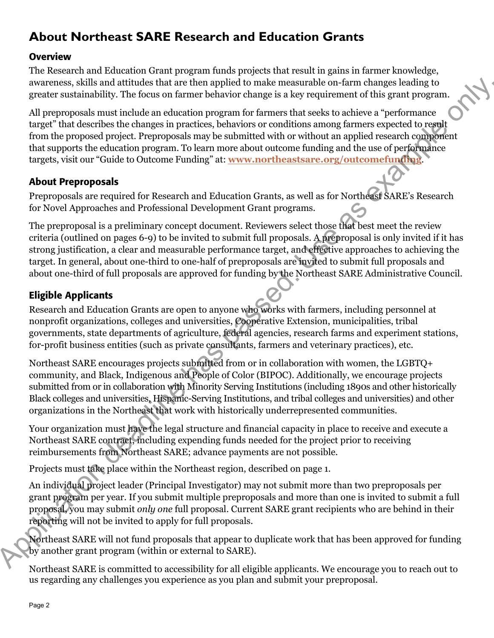# <span id="page-1-0"></span>**About Northeast SARE Research and Education Grants**

#### **Overview**

The Research and Education Grant program funds projects that result in gains in farmer knowledge, awareness, skills and attitudes that are then applied to make measurable on-farm changes leading to greater sustainability. The focus on farmer behavior change is a key requirement of this grant program.

All preproposals must include an education program for farmers that seeks to achieve a "performance target" that describes the changes in practices, behaviors or conditions among farmers expected to result from the proposed project. Preproposals may be submitted with or without an applied research component that supports the education program. To learn more about outcome funding and the use of performance targets, visit our "Guide to Outcome Funding" at: **www.northeastsare.org/outcomefunding**.

#### About Preproposals

Preproposals are required for Research and Education Grants, as well as for Northeast SARE's Research for Novel Approaches and Professional Development Grant programs.

The preproposal is a preliminary concept document. Reviewers select those that best meet the review criteria (outlined on pages 6-9) to be invited to submit full proposals. A preproposal is only invited if it has strong justification, a clear and measurable performance target, and effective approaches to achieving the target. In general, about one-third to one-half of preproposals are invited to submit full proposals and about one-third of full proposals are approved for funding by the Northeast SARE Administrative Council. avanetes, still and attitudes that are then a pplied for make measurable on-farm change is ading the perpendix and the perpendix and the perpendix and the perpendix and the station of the station of farmes that are the cha

### Eligible Applicants

Research and Education Grants are open to anyone who works with farmers, including personnel at nonprofit organizations, colleges and universities, Cooperative Extension, municipalities, tribal governments, state departments of agriculture, federal agencies, research farms and experiment stations, for-profit business entities (such as private consultants, farmers and veterinary practices), etc.

Northeast SARE encourages projects submitted from or in collaboration with women, the LGBTQ+ community, and Black, Indigenous and People of Color (BIPOC). Additionally, we encourage projects submitted from or in collaboration with Minority Serving Institutions (including 1890s and other historically Black colleges and universities, Hispanic-Serving Institutions, and tribal colleges and universities) and other organizations in the Northeast that work with historically underrepresented communities.

Your organization must have the legal structure and financial capacity in place to receive and execute a Northeast SARE contract, including expending funds needed for the project prior to receiving reimbursements from Northeast SARE; advance payments are not possible.

Projects must take place within the Northeast region, described on page 1.

An individual project leader (Principal Investigator) may not submit more than two preproposals per grant program per year. If you submit multiple preproposals and more than one is invited to submit a full proposal, you may submit *only one* full proposal. Current SARE grant recipients who are behind in their reporting will not be invited to apply for full proposals.

Northeast SARE will not fund proposals that appear to duplicate work that has been approved for funding by another grant program (within or external to SARE).

Northeast SARE is committed to accessibility for all eligible applicants. We encourage you to reach out to us regarding any challenges you experience as you plan and submit your preproposal.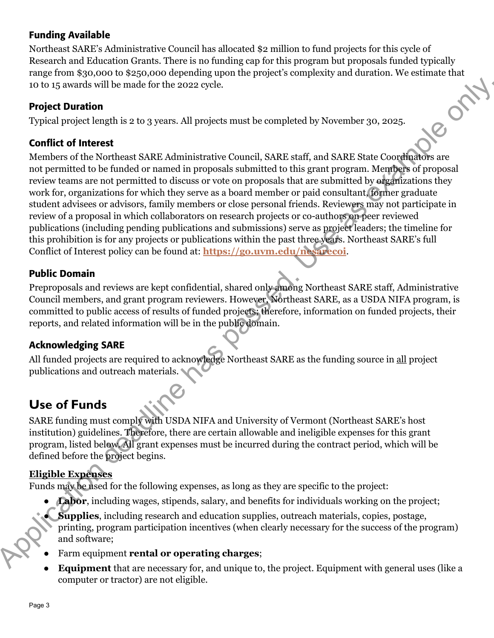### Funding Available

Northeast SARE's Administrative Council has allocated \$2 million to fund projects for this cycle of Research and Education Grants. There is no funding cap for this program but proposals funded typically range from \$30,000 to \$250,000 depending upon the project's complexity and duration. We estimate that<br>10 to 15 awards will be made for the 2022 cycle.<br>**Project Duration**<br>Typical project length is 2 to 3 years. All project 10 to 15 awards will be made for the 2022 cycle.

### Project Duration

Typical project length is 2 to 3 years. All projects must be completed by November 30, 2025.

### Conflict of Interest

Members of the Northeast SARE Administrative Council, SARE staff, and SARE State Coordinators are not permitted to be funded or named in proposals submitted to this grant program. Members of proposal review teams are not permitted to discuss or vote on proposals that are submitted by organizations they work for, organizations for which they serve as a board member or paid consultant, former graduate student advisees or advisors, family members or close personal friends. Reviewers may not participate in review of a proposal in which collaborators on research projects or co-authors on peer reviewed publications (including pending publications and submissions) serve as project leaders; the timeline for this prohibition is for any projects or publications within the past three years. Northeast SARE's full Conflict of Interest policy can be found at: **https://go.uvm.edu/nesarecoi**. 10 to 15 awards will be made for the above recise.<br> **Projects must be compileded by November 30, 2025.**<br> **Cycled project ingth is 2 to 3 years.** All projects must be compileded by November 30, 2025.<br> **Conflict of interest** 

### Public Domain

Preproposals and reviews are kept confidential, shared only among Northeast SARE staff, Administrative Council members, and grant program reviewers. However, Northeast SARE, as a USDA NIFA program, is committed to public access of results of funded projects; therefore, information on funded projects, their reports, and related information will be in the public domain.

### Acknowledging SARE

All funded projects are required to acknowledge Northeast SARE as the funding source in all project publications and outreach materials.

## <span id="page-2-0"></span>**Use of Funds**

SARE funding must comply with USDA NIFA and University of Vermont (Northeast SARE's host institution) guidelines. Therefore, there are certain allowable and ineligible expenses for this grant program, listed below. All grant expenses must be incurred during the contract period, which will be defined before the project begins.

### **Eligible Expenses**

Funds may be used for the following expenses, as long as they are specific to the project:

- **Labor**, including wages, stipends, salary, and benefits for individuals working on the project;
- **Supplies**, including research and education supplies, outreach materials, copies, postage, printing, program participation incentives (when clearly necessary for the success of the program) and software;
- Farm equipment **rental or operating charges**;
- **Equipment** that are necessary for, and unique to, the project. Equipment with general uses (like a computer or tractor) are not eligible.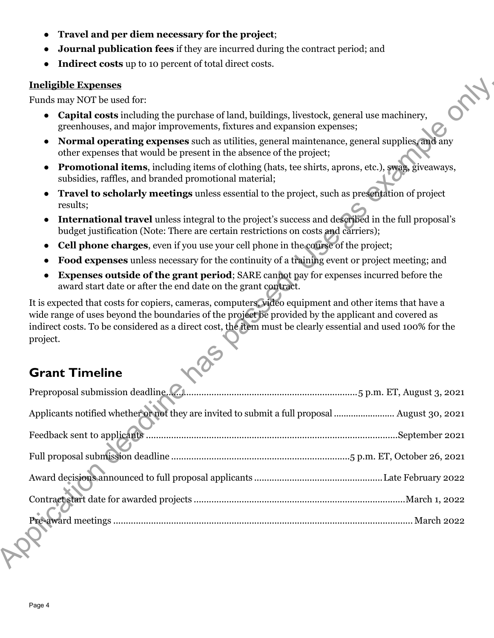- **Travel and per diem necessary for the project**;
- **Journal publication fees** if they are incurred during the contract period; and
- **Indirect costs** up to 10 percent of total direct costs.

#### **Ineligible Expenses**

- **Capital costs** including the purchase of land, buildings, livestock, general use machinery, greenhouses, and major improvements, fixtures and expansion expenses;
- **Normal operating expenses** such as utilities, general maintenance, general supplies, and any other expenses that would be present in the absence of the project;
- **Promotional items**, including items of clothing (hats, tee shirts, aprons, etc.), swag, giveaways, subsidies, raffles, and branded promotional material;
- **Travel to scholarly meetings** unless essential to the project, such as presentation of project results;
- **International travel** unless integral to the project's success and described in the full proposal's budget justification (Note: There are certain restrictions on costs and carriers);
- **Cell phone charges**, even if you use your cell phone in the course of the project;
- **Food expenses** unless necessary for the continuity of a training event or project meeting; and
- **Expenses outside of the grant period**; SARE cannot pay for expenses incurred before the award start date or after the end date on the grant contract.

### <span id="page-3-0"></span>**Grant Timeline**

|                                                                                                        | Funds may NOT be used for:                                                                                                                                                               |
|--------------------------------------------------------------------------------------------------------|------------------------------------------------------------------------------------------------------------------------------------------------------------------------------------------|
| $\bullet$                                                                                              | Capital costs including the purchase of land, buildings, livestock, general use machinery,<br>greenhouses, and major improvements, fixtures and expansion expenses;                      |
|                                                                                                        | Normal operating expenses such as utilities, general maintenance, general supplies, and any<br>other expenses that would be present in the absence of the project;                       |
| $\bullet$                                                                                              | Promotional items, including items of clothing (hats, tee shirts, aprons, etc.), swag, giveaways,<br>subsidies, raffles, and branded promotional material;                               |
| $\bullet$                                                                                              | Travel to scholarly meetings unless essential to the project, such as presentation of project<br>results;                                                                                |
|                                                                                                        | International travel unless integral to the project's success and described in the full proposal's<br>budget justification (Note: There are certain restrictions on costs and carriers); |
| $\bullet$                                                                                              | Cell phone charges, even if you use your cell phone in the course of the project;                                                                                                        |
|                                                                                                        | Food expenses unless necessary for the continuity of a training event or project meeting; and                                                                                            |
| $\bullet$                                                                                              | <b>Expenses outside of the grant period;</b> SARE cannot pay for expenses incurred before the<br>award start date or after the end date on the grant contract.                           |
| It is expected that costs for copiers, cameras, computers, video equipment and other items that have a | wide range of uses beyond the boundaries of the project be provided by the applicant and covered as                                                                                      |
| project.                                                                                               | indirect costs. To be considered as a direct cost, the item must be clearly essential and used 100% for the<br><b>Grant Timeline</b>                                                     |
|                                                                                                        | <b>Libre</b>                                                                                                                                                                             |
|                                                                                                        | Applicants notified whether or not they are invited to submit a full proposal  August 30, 2021                                                                                           |
|                                                                                                        |                                                                                                                                                                                          |
|                                                                                                        |                                                                                                                                                                                          |
|                                                                                                        |                                                                                                                                                                                          |
|                                                                                                        |                                                                                                                                                                                          |
|                                                                                                        |                                                                                                                                                                                          |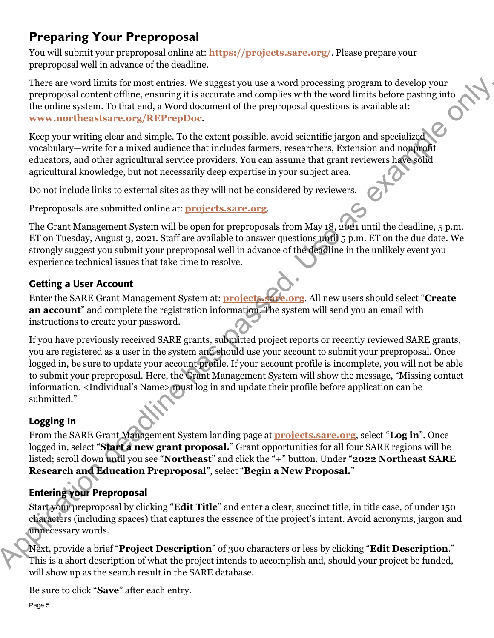# <span id="page-4-0"></span>**Preparing Your Preproposal**

You will submit your preproposal online at: **<https://projects.sare.org/>**. Please prepare your preproposal well in advance of the deadline.

There are word limits for most entries. We suggest you use a word processing program to develop your preproposal content offline, ensuring it is accurate and complies with the word limits before pasting into the online system. To that end, a Word document of the preproposal questions is available at: **www.northeastsare.org/REPrepDoc**.

Keep your writing clear and simple. To the extent possible, avoid scientific jargon and specialized vocabulary—write for a mixed audience that includes farmers, researchers, Extension and nonprofit educators, and other agricultural service providers. You can assume that grant reviewers have solid agricultural knowledge, but not necessarily deep expertise in your subject area.

Do not include links to external sites as they will not be considered by reviewers.

Preproposals are submitted online at: **projects.sare.org**.

The Grant Management System will be open for preproposals from May 18, 2021 until the deadline, 5 p.m. ET on Tuesday, August 3, 2021. Staff are available to answer questions until 5 p.m. ET on the due date. We strongly suggest you submit your preproposal well in advance of the deadline in the unlikely event you experience technical issues that take time to resolve.

### Getting a User Account

Enter the SARE Grant Management System at: **projects.sare.org**. All new users should select "**Create an account**" and complete the registration information. The system will send you an email with instructions to create your password.

If you have previously received SARE grants, submitted project reports or recently reviewed SARE grants, you are registered as a user in the system and should use your account to submit your preproposal. Once logged in, be sure to update your account profile. If your account profile is incomplete, you will not be able to submit your preproposal. Here, the Grant Management System will show the message, "Missing contact information. <Individual's Name> must log in and update their profile before application can be submitted." These are woord limits for most entires. We angeget you is a a word proposition program of develop your proposition of the proposition of the proposition of the proposition of the proposition of the tractional continue of

### Logging In

From the SARE Grant Management System landing page at **projects.sare.org**, select "**Log in**". Once logged in, select "**Start a new grant proposal.**" Grant opportunities for all four SARE regions will be listed; scroll down until you see "**Northeast**" and click the "**+**" button. Under "**2022 Northeast SARE Research and Education Preproposal**", select "**Begin a New Proposal.**"

### Entering your Preproposal

Start your preproposal by clicking "**Edit Title**" and enter a clear, succinct title, in title case, of under 150 characters (including spaces) that captures the essence of the project's intent. Avoid acronyms, jargon and unnecessary words.

Next, provide a brief "**Project Description**" of 300 characters or less by clicking "**Edit Description**." This is a short description of what the project intends to accomplish and, should your project be funded, will show up as the search result in the SARE database.

Be sure to click "**Save**" after each entry.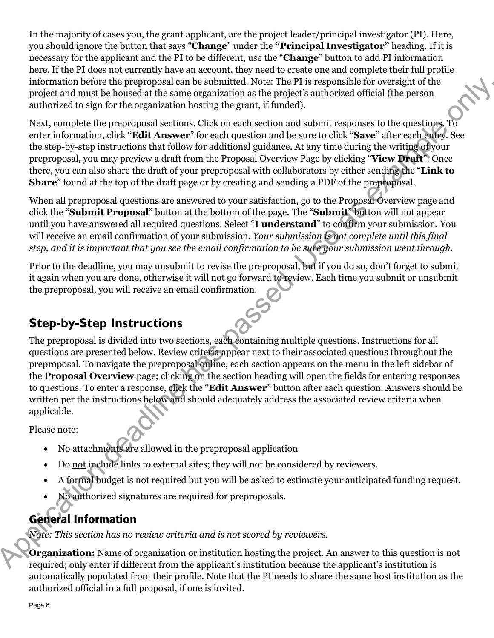In the majority of cases you, the grant applicant, are the project leader/principal investigator (PI). Here, you should ignore the button that says "**Change**" under the **"Principal Investigator"** heading. If it is necessary for the applicant and the PI to be different, use the "**Change**" button to add PI information here. If the PI does not currently have an account, they need to create one and complete their full profile information before the preproposal can be submitted. Note: The PI is responsible for oversight of the project and must be housed at the same organization as the project's authorized official (the person authorized to sign for the organization hosting the grant, if funded).

Next, complete the preproposal sections. Click on each section and submit responses to the questions. To enter information, click "**Edit Answer**" for each question and be sure to click "**Save**" after each entry. See the step-by-step instructions that follow for additional guidance. At any time during the writing of your preproposal, you may preview a draft from the Proposal Overview Page by clicking "**View Draft**". Once there, you can also share the draft of your preproposal with collaborators by either sending the "**Link to Share**" found at the top of the draft page or by creating and sending a PDF of the preproposal.

When all preproposal questions are answered to your satisfaction, go to the Proposal Overview page and click the "**Submit Proposal**" button at the bottom of the page. The "**Submit**" button will not appear until you have answered all required questions. Select "**I understand**" to confirm your submission. You will receive an email confirmation of your submission. *Your submission is not complete until this final step, and it is important that you see the email confirmation to be sure your submission went through.*

Prior to the deadline, you may unsubmit to revise the preproposal, but if you do so, don't forget to submit it again when you are done, otherwise it will not go forward to review. Each time you submit or unsubmit the preproposal, you will receive an email confirmation.

# <span id="page-5-0"></span>**Step-by-Step Instructions**

The preproposal is divided into two sections, each containing multiple questions. Instructions for all questions are presented below. Review criteria appear next to their associated questions throughout the preproposal. To navigate the preproposal online, each section appears on the menu in the left sidebar of the **Proposal Overview** page; clicking on the section heading will open the fields for entering responses to questions. To enter a response, click the "**Edit Answer**" button after each question. Answers should be written per the instructions below and should adequately address the associated review criteria when applicable. information before the preproposal can be submitted. Note: The Plit is responsible for oversight of the small<br>project such and the proposition deals ( $\eta$ ) and  $\eta$ ) and  $\eta$  from<br>the theory of the proposition of the symm

Please note:

- No attachments are allowed in the preproposal application.
- Do not include links to external sites; they will not be considered by reviewers.
- A formal budget is not required but you will be asked to estimate your anticipated funding request.
- No authorized signatures are required for preproposals.

### General Information

*Note: This section has no review criteria and is not scored by reviewers.* 

**Organization:** Name of organization or institution hosting the project. An answer to this question is not required; only enter if different from the applicant's institution because the applicant's institution is automatically populated from their profile. Note that the PI needs to share the same host institution as the authorized official in a full proposal, if one is invited.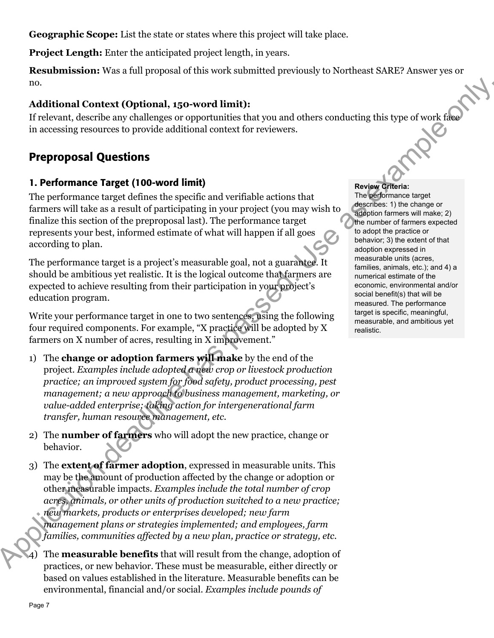**Geographic Scope:** List the state or states where this project will take place.

**Project Length:** Enter the anticipated project length, in years.

**Resubmission:** Was a full proposal of this work submitted previously to Northeast SARE? Answer yes or no.

#### **Additional Context (Optional, 150-word limit):**

If relevant, describe any challenges or opportunities that you and others conducting this type of work face in accessing resources to provide additional context for reviewers.

### Preproposal Questions

#### 1. Performance Target (100-word limit)

The performance target defines the specific and verifiable actions that farmers will take as a result of participating in your project (you may wish to finalize this section of the preproposal last). The performance target represents your best, informed estimate of what will happen if all goes according to plan.

The performance target is a project's measurable goal, not a guarantee. It should be ambitious yet realistic. It is the logical outcome that farmers are expected to achieve resulting from their participation in your project's education program.

Write your performance target in one to two sentences, using the following four required components. For example, "X practice will be adopted by X farmers on X number of acres, resulting in X improvement."

- 1) The **change or adoption farmers will make** by the end of the project. *Examples include adopted a new crop or livestock production practice; an improved system for food safety, product processing, pest management; a new approach to business management, marketing, or value-added enterprise; taking action for intergenerational farm transfer, human resource management, etc.*
- 2) The **number of farmers** who will adopt the new practice, change or behavior.
- 3) The **extent of farmer adoption**, expressed in measurable units. This may be the amount of production affected by the change or adoption or other measurable impacts. *Examples include the total number of crop acres, animals, or other units of production switched to a new practice; new markets, products or enterprises developed; new farm management plans or strategies implemented; and employees, farm families, communities affected by a new plan, practice or strategy, etc.* no.<br>
Additional Contest (Optional, 150-word limit):<br>
Arelievant, describe any challenges or organization that you and others conducting this type of word the<br>
in accessing resources to provide additional contest for neive
	- 4) The **measurable benefits** that will result from the change, adoption of practices, or new behavior. These must be measurable, either directly or based on values established in the literature. Measurable benefits can be environmental, financial and/or social. *Examples include pounds of*

#### **Review Criteria:**

The performance target describes: 1) the change or adoption farmers will make; 2) the number of farmers expected to adopt the practice or behavior; 3) the extent of that adoption expressed in measurable units (acres, families, animals, etc.); and 4) a numerical estimate of the economic, environmental and/or social benefit(s) that will be measured. The performance target is specific, meaningful, measurable, and ambitious yet realistic.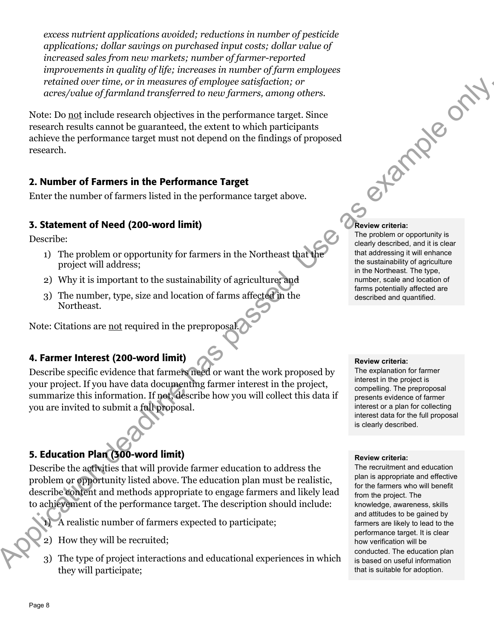*excess nutrient applications avoided; reductions in number of pesticide applications; dollar savings on purchased input costs; dollar value of increased sales from new markets; number of farmer-reported improvements in quality of life; increases in number of farm employees retained over time, or in measures of employee satisfaction; or acres/value of farmland transferred to new farmers, among others.*

Note: Do not include research objectives in the performance target. Since research results cannot be guaranteed, the extent to which participants achieve the performance target must not depend on the findings of proposed research.

### 2. Number of Farmers in the Performance Target

Enter the number of farmers listed in the performance target above.

### 3. Statement of Need (200-word limit)

Describe:

- 1) The problem or opportunity for farmers in the Northeast that the project will address;
- 2) Why it is important to the sustainability of agriculture; and
- 3) The number, type, size and location of farms affected in the Northeast.

Note: Citations are not required in the preproposal.

### 4. Farmer Interest (200-word limit)

Describe specific evidence that farmers need or want the work proposed by your project. If you have data documenting farmer interest in the project, summarize this information. If not, describe how you will collect this data if you are invited to submit a full proposal.

### 5. Education Plan (300-word limit)

Describe the activities that will provide farmer education to address the problem or opportunity listed above. The education plan must be realistic, describe content and methods appropriate to engage farmers and likely lead to achievement of the performance target. The description should include: Describe the activitie<br>problem or opportun<br>describe content and<br>to achievement of the<br> $\begin{pmatrix} 1 \end{pmatrix}$  A realistic nur<br>2) How they will<br>3) The type of pr

1) A realistic number of farmers expected to participate;

- 2) How they will be recruited;
- 3) The type of project interactions and educational experiences in which they will participate;

#### **Review criteria:**

The problem or opportunity is clearly described, and it is clear that addressing it will enhance the sustainability of agriculture in the Northeast. The type, number, scale and location of farms potentially affected are described and quantified.

otenige on

#### **Review criteria:**

The explanation for farmer interest in the project is compelling. The preproposal presents evidence of farmer interest or a plan for collecting interest data for the full proposal is clearly described.

#### **Review criteria:**

The recruitment and education plan is appropriate and effective for the farmers who will benefit from the project. The knowledge, awareness, skills and attitudes to be gained by farmers are likely to lead to the performance target. It is clear how verification will be conducted. The education plan is based on useful information that is suitable for adoption.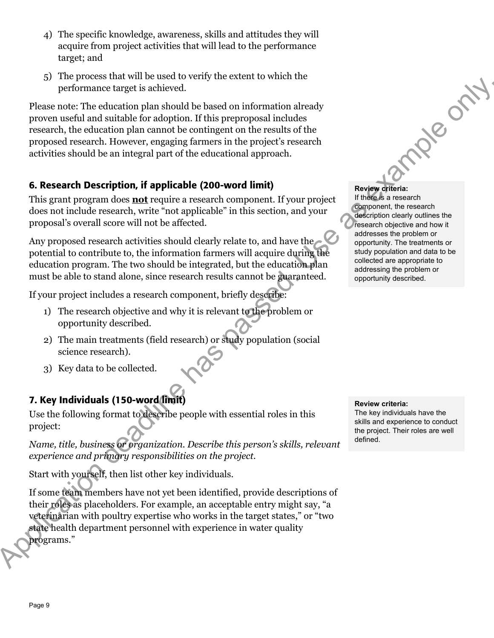- 4) The specific knowledge, awareness, skills and attitudes they will acquire from project activities that will lead to the performance target; and
- 5) The process that will be used to verify the extent to which the performance target is achieved.

Please note: The education plan should be based on information already proven useful and suitable for adoption. If this preproposal includes research, the education plan cannot be contingent on the results of the proposed research. However, engaging farmers in the project's research activities should be an integral part of the educational approach.

### 6. Research Description, if applicable (200-word limit)

This grant program does **not** require a research component. If your project does not include research, write "not applicable" in this section, and your proposal's overall score will not be affected.

Any proposed research activities should clearly relate to, and have the potential to contribute to, the information farmers will acquire during the education program. The two should be integrated, but the education plan must be able to stand alone, since research results cannot be guaranteed.

If your project includes a research component, briefly describe:

- 1) The research objective and why it is relevant to the problem or opportunity described.
- 2) The main treatments (field research) or study population (social science research).
- 3) Key data to be collected.

### 7. Key Individuals (150-word limit)

Use the following format to describe people with essential roles in this project:

*Name, title, business or organization. Describe this person's skills, relevant experience and primary responsibilities on the project.* 

Start with yourself, then list other key individuals.

If some team members have not yet been identified, provide descriptions of their roles as placeholders. For example, an acceptable entry might say, "a veterinarian with poultry expertise who works in the target states," or "two state health department personnel with experience in water quality programs." Application dealing the state of the space of the space of the space of the space of the space of the space of the space of the space of the space of the space of the space of the space of the space of the space of the sp

#### **Review criteria:**  If there is a research component, the research description clearly outlines the research objective and how it addresses the problem or opportunity. The treatments or study population and data to be collected are appropriate to addressing the problem or opportunity described.

**Review criteria:** 

The key individuals have the skills and experience to conduct the project. Their roles are well defined.